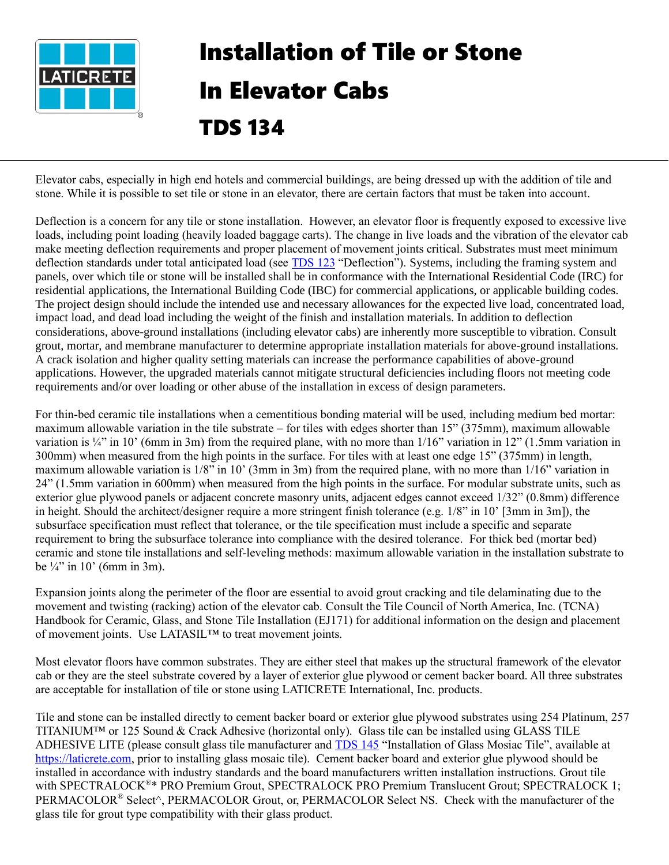

## Installation of Tile or Stone In Elevator Cabs TDS 134

Elevator cabs, especially in high end hotels and commercial buildings, are being dressed up with the addition of tile and stone. While it is possible to set tile or stone in an elevator, there are certain factors that must be taken into account.

Deflection is a concern for any tile or stone installation. However, an elevator floor is frequently exposed to excessive live loads, including point loading (heavily loaded baggage carts). The change in live loads and the vibration of the elevator cab make meeting deflection requirements and proper placement of movement joints critical. Substrates must meet minimum deflection standards under total anticipated load (se[e TDS](https://cdn.laticrete.com/~/media/support-and-downloads/technical-datasheets/tds123.ashx) 123 "Deflection"). Systems, including the framing system and panels, over which tile or stone will be installed shall be in conformance with the International Residential Code (IRC) for residential applications, the International Building Code (IBC) for commercial applications, or applicable building codes. The project design should include the intended use and necessary allowances for the expected live load, concentrated load, impact load, and dead load including the weight of the finish and installation materials. In addition to deflection considerations, above-ground installations (including elevator cabs) are inherently more susceptible to vibration. Consult grout, mortar, and membrane manufacturer to determine appropriate installation materials for above-ground installations. A crack isolation and higher quality setting materials can increase the performance capabilities of above-ground applications. However, the upgraded materials cannot mitigate structural deficiencies including floors not meeting code requirements and/or over loading or other abuse of the installation in excess of design parameters.

For thin-bed ceramic tile installations when a cementitious bonding material will be used, including medium bed mortar: maximum allowable variation in the tile substrate – for tiles with edges shorter than 15" (375mm), maximum allowable variation is  $\frac{1}{4}$  in 10' (6mm in 3m) from the required plane, with no more than  $1/16$ " variation in 12" (1.5mm variation in 300mm) when measured from the high points in the surface. For tiles with at least one edge 15" (375mm) in length, maximum allowable variation is 1/8" in 10' (3mm in 3m) from the required plane, with no more than 1/16" variation in 24" (1.5mm variation in 600mm) when measured from the high points in the surface. For modular substrate units, such as exterior glue plywood panels or adjacent concrete masonry units, adjacent edges cannot exceed 1/32" (0.8mm) difference in height. Should the architect/designer require a more stringent finish tolerance (e.g.  $1/8$ " in 10' [3mm in 3m]), the subsurface specification must reflect that tolerance, or the tile specification must include a specific and separate requirement to bring the subsurface tolerance into compliance with the desired tolerance. For thick bed (mortar bed) ceramic and stone tile installations and self-leveling methods: maximum allowable variation in the installation substrate to be  $\frac{1}{4}$ " in 10° (6mm in 3m).

Expansion joints along the perimeter of the floor are essential to avoid grout cracking and tile delaminating due to the movement and twisting (racking) action of the elevator cab. Consult the Tile Council of North America, Inc. (TCNA) Handbook for Ceramic, Glass, and Stone Tile Installation (EJ171) for additional information on the design and placement of movement joints. Use LATASIL™ to treat movement joints.

Most elevator floors have common substrates. They are either steel that makes up the structural framework of the elevator cab or they are the steel substrate covered by a layer of exterior glue plywood or cement backer board. All three substrates are acceptable for installation of tile or stone using LATICRETE International, Inc. products.

Tile and stone can be installed directly to cement backer board or exterior glue plywood substrates using 254 Platinum, 257 TITANIUM™ or 125 Sound & Crack Adhesive (horizontal only). Glass tile can be installed using GLASS TILE ADHESIVE LITE (please consult glass tile manufacturer and [TDS 145](https://cdn.laticrete.com/~/media/support-and-downloads/technical-datasheets/tds145.ashx) "Installation of Glass Mosiac Tile", available at [https://laticrete.com,](https://laticrete.com/) prior to installing glass mosaic tile). Cement backer board and exterior glue plywood should be installed in accordance with industry standards and the board manufacturers written installation instructions. Grout tile with SPECTRALOCK® \* PRO Premium Grout, SPECTRALOCK PRO Premium Translucent Grout; SPECTRALOCK 1; PERMACOLOR® Select<sup>^</sup>, PERMACOLOR Grout, or, PERMACOLOR Select NS. Check with the manufacturer of the glass tile for grout type compatibility with their glass product.